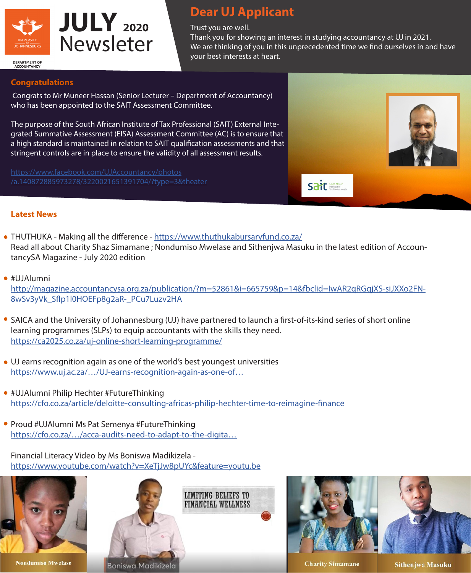

## **Dear UJ Applicant**

Trust you are well.

Thank you for showing an interest in studying accountancy at UJ in 2021. We are thinking of you in this unprecedented time we find ourselves in and have your best interests at heart.

**DEPARTMENT OF ACCOUNTANC** 

## **Congratulations**

 Congrats to Mr Muneer Hassan (Senior Lecturer – Department of Accountancy) who has been appointed to the SAIT Assessment Committee.

The purpose of the South African Institute of Tax Professional (SAIT) External Integrated Summative Assessment (EISA) Assessment Committee (AC) is to ensure that a high standard is maintained in relation to SAIT qualification assessments and that stringent controls are in place to ensure the validity of all assessment results.

[https://www.facebook.com/UJAccountancy/photos](https://www.facebook.com/UJAccountancy/photos/a.140872885973278/3220021651391704/?type=3&theater) [/a.140872885973278/3220021651391704/?type=3&theater](https://www.facebook.com/UJAccountancy/photos/a.140872885973278/3220021651391704/?type=3&theater)



## **Latest News**

- THUTHUKA Making all the difference -<https://www.thuthukabursaryfund.co.za/> Read all about Charity Shaz Simamane ; Nondumiso Mwelase and Sithenjwa Masuku in the latest edition of AccountancySA Magazine - July 2020 edition
- #UJAlumni

[http://magazine.accountancysa.org.za/publication/?m=52861&i=665759&p=14&fbclid=IwAR2qRGqjXS-siJXXo2FN-](http://magazine.accountancysa.org.za/publication/?m=52861&i=665759&p=14&fbclid=IwAR2qRGqjXS-siJXXo2FN8wSv3yVk_Sflp1l0HOEFp8g2aR-_PCu7Luzv2HA)[8wSv3yVk\\_Sflp1l0HOEFp8g2aR-\\_PCu7Luzv2HA](http://magazine.accountancysa.org.za/publication/?m=52861&i=665759&p=14&fbclid=IwAR2qRGqjXS-siJXXo2FN8wSv3yVk_Sflp1l0HOEFp8g2aR-_PCu7Luzv2HA)

- SAICA and the University of Johannesburg (UJ) have partnered to launch a first-of-its-kind series of short online learning programmes (SLPs) to equip accountants with the skills they need. <https://ca2025.co.za/uj-online-short-learning-programme/>
- UJ earns recognition again as one of the world's best youngest universities [https://www.uj.ac.za/…/UJ-earns-recognition-again-as-one-of…](https://whttps://www.uj.ac.za/newandevents/Pages/UJ-earns-recognition-again-as-one-of-the-worlds-best-youngest-universities.aspx)
- #UJAlumni Philip Hechter #FutureThinking <https://cfo.co.za/article/deloitte-consulting-africas-philip-hechter-time-to-reimagine-finance>
- Proud #UJAlumni Ms Pat Semenya #FutureThinking [https://cfo.co.za/…/acca-audits-need-to-adapt-to-the-digita…](https://cfo.co.za/article/acca-audits-need-to-adapt-to-the-digital-age?utm_source=cfo-sa&utm_campaign=nb-13-7-2020&utm_medium=email&utm_content=acca-audits-need-to-adapt-to-the-digital-age)

Financial Literacy Video by Ms Boniswa Madikizela <https://www.youtube.com/watch?v=XeTjJw8pUYc&feature=youtu.be>



**Nondumiso Mwelase** 







**Charity Simamane** 

**Sithenjwa Masuku**